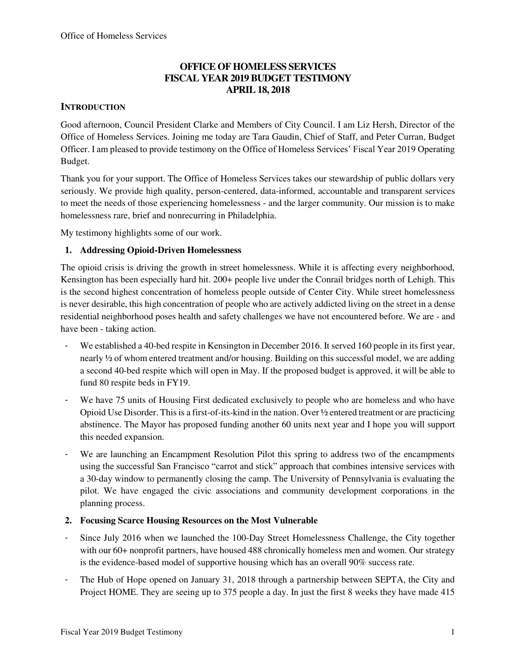# **OFFICE OF HOMELESS SERVICES FISCAL YEAR 2019 BUDGET TESTIMONY APRIL 18, 2018**

# **INTRODUCTION**

Good afternoon, Council President Clarke and Members of City Council. I am Liz Hersh, Director of the Office of Homeless Services. Joining me today are Tara Gaudin, Chief of Staff, and Peter Curran, Budget Officer. I am pleased to provide testimony on the Office of Homeless Services' Fiscal Year 2019 Operating Budget.

Thank you for your support. The Office of Homeless Services takes our stewardship of public dollars very seriously. We provide high quality, person-centered, data-informed, accountable and transparent services to meet the needs of those experiencing homelessness - and the larger community. Our mission is to make homelessness rare, brief and nonrecurring in Philadelphia.

My testimony highlights some of our work.

# **1. Addressing Opioid-Driven Homelessness**

The opioid crisis is driving the growth in street homelessness. While it is affecting every neighborhood, Kensington has been especially hard hit. 200+ people live under the Conrail bridges north of Lehigh. This is the second highest concentration of homeless people outside of Center City. While street homelessness is never desirable, this high concentration of people who are actively addicted living on the street in a dense residential neighborhood poses health and safety challenges we have not encountered before. We are - and have been - taking action.

- We established a 40-bed respite in Kensington in December 2016. It served 160 people in its first year, nearly ½ of whom entered treatment and/or housing. Building on this successful model, we are adding a second 40-bed respite which will open in May. If the proposed budget is approved, it will be able to fund 80 respite beds in FY19.
- We have 75 units of Housing First dedicated exclusively to people who are homeless and who have Opioid Use Disorder. This is a first-of-its-kind in the nation. Over ½ entered treatment or are practicing abstinence. The Mayor has proposed funding another 60 units next year and I hope you will support this needed expansion.
- We are launching an Encampment Resolution Pilot this spring to address two of the encampments using the successful San Francisco "carrot and stick" approach that combines intensive services with a 30-day window to permanently closing the camp. The University of Pennsylvania is evaluating the pilot. We have engaged the civic associations and community development corporations in the planning process.

# **2. Focusing Scarce Housing Resources on the Most Vulnerable**

- Since July 2016 when we launched the 100-Day Street Homelessness Challenge, the City together with our 60+ nonprofit partners, have housed 488 chronically homeless men and women. Our strategy is the evidence-based model of supportive housing which has an overall 90% success rate.
- The Hub of Hope opened on January 31, 2018 through a partnership between SEPTA, the City and Project HOME. They are seeing up to 375 people a day. In just the first 8 weeks they have made 415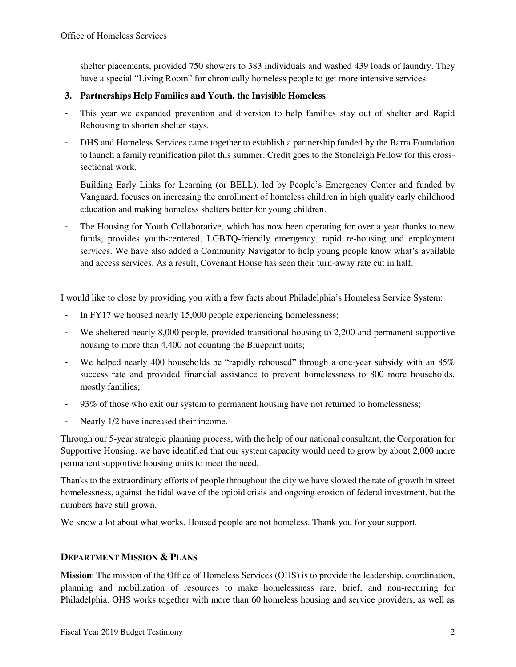shelter placements, provided 750 showers to 383 individuals and washed 439 loads of laundry. They have a special "Living Room" for chronically homeless people to get more intensive services.

### **3. Partnerships Help Families and Youth, the Invisible Homeless**

- This year we expanded prevention and diversion to help families stay out of shelter and Rapid Rehousing to shorten shelter stays.
- DHS and Homeless Services came together to establish a partnership funded by the Barra Foundation to launch a family reunification pilot this summer. Credit goes to the Stoneleigh Fellow for this crosssectional work.
- Building Early Links for Learning (or BELL), led by People's Emergency Center and funded by Vanguard, focuses on increasing the enrollment of homeless children in high quality early childhood education and making homeless shelters better for young children.
- The Housing for Youth Collaborative, which has now been operating for over a year thanks to new funds, provides youth-centered, LGBTQ-friendly emergency, rapid re-housing and employment services. We have also added a Community Navigator to help young people know what's available and access services. As a result, Covenant House has seen their turn-away rate cut in half.

I would like to close by providing you with a few facts about Philadelphia's Homeless Service System:

- In FY17 we housed nearly 15,000 people experiencing homelessness;
- We sheltered nearly 8,000 people, provided transitional housing to 2,200 and permanent supportive housing to more than 4,400 not counting the Blueprint units;
- We helped nearly 400 households be "rapidly rehoused" through a one-year subsidy with an 85% success rate and provided financial assistance to prevent homelessness to 800 more households, mostly families;
- 93% of those who exit our system to permanent housing have not returned to homelessness;
- Nearly 1/2 have increased their income.

Through our 5-year strategic planning process, with the help of our national consultant, the Corporation for Supportive Housing, we have identified that our system capacity would need to grow by about 2,000 more permanent supportive housing units to meet the need.

Thanks to the extraordinary efforts of people throughout the city we have slowed the rate of growth in street homelessness, against the tidal wave of the opioid crisis and ongoing erosion of federal investment, but the numbers have still grown.

We know a lot about what works. Housed people are not homeless. Thank you for your support.

#### **DEPARTMENT MISSION & PLANS**

**Mission**: The mission of the Office of Homeless Services (OHS) is to provide the leadership, coordination, planning and mobilization of resources to make homelessness rare, brief, and non-recurring for Philadelphia. OHS works together with more than 60 homeless housing and service providers, as well as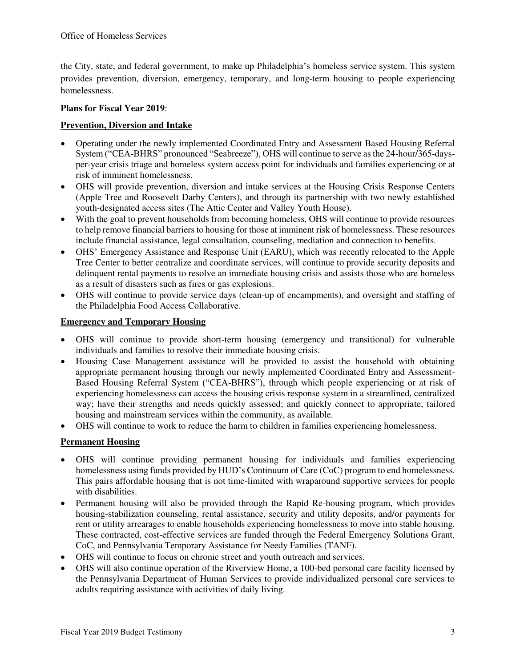the City, state, and federal government, to make up Philadelphia's homeless service system. This system provides prevention, diversion, emergency, temporary, and long-term housing to people experiencing homelessness.

#### **Plans for Fiscal Year 2019**:

# **Prevention, Diversion and Intake**

- Operating under the newly implemented Coordinated Entry and Assessment Based Housing Referral System ("CEA-BHRS" pronounced "Seabreeze"), OHS will continue to serve as the 24-hour/365-daysper-year crisis triage and homeless system access point for individuals and families experiencing or at risk of imminent homelessness.
- OHS will provide prevention, diversion and intake services at the Housing Crisis Response Centers (Apple Tree and Roosevelt Darby Centers), and through its partnership with two newly established youth-designated access sites (The Attic Center and Valley Youth House).
- With the goal to prevent households from becoming homeless, OHS will continue to provide resources to help remove financial barriers to housing for those at imminent risk of homelessness. These resources include financial assistance, legal consultation, counseling, mediation and connection to benefits.
- OHS' Emergency Assistance and Response Unit (EARU), which was recently relocated to the Apple Tree Center to better centralize and coordinate services, will continue to provide security deposits and delinquent rental payments to resolve an immediate housing crisis and assists those who are homeless as a result of disasters such as fires or gas explosions.
- OHS will continue to provide service days (clean-up of encampments), and oversight and staffing of the Philadelphia Food Access Collaborative.

### **Emergency and Temporary Housing**

- OHS will continue to provide short-term housing (emergency and transitional) for vulnerable individuals and families to resolve their immediate housing crisis.
- Housing Case Management assistance will be provided to assist the household with obtaining appropriate permanent housing through our newly implemented Coordinated Entry and Assessment-Based Housing Referral System ("CEA-BHRS"), through which people experiencing or at risk of experiencing homelessness can access the housing crisis response system in a streamlined, centralized way; have their strengths and needs quickly assessed; and quickly connect to appropriate, tailored housing and mainstream services within the community, as available.
- OHS will continue to work to reduce the harm to children in families experiencing homelessness.

# **Permanent Housing**

- OHS will continue providing permanent housing for individuals and families experiencing homelessness using funds provided by HUD's Continuum of Care (CoC) program to end homelessness. This pairs affordable housing that is not time-limited with wraparound supportive services for people with disabilities.
- Permanent housing will also be provided through the Rapid Re-housing program, which provides housing-stabilization counseling, rental assistance, security and utility deposits, and/or payments for rent or utility arrearages to enable households experiencing homelessness to move into stable housing. These contracted, cost-effective services are funded through the Federal Emergency Solutions Grant, CoC, and Pennsylvania Temporary Assistance for Needy Families (TANF).
- OHS will continue to focus on chronic street and youth outreach and services.
- OHS will also continue operation of the Riverview Home, a 100-bed personal care facility licensed by the Pennsylvania Department of Human Services to provide individualized personal care services to adults requiring assistance with activities of daily living.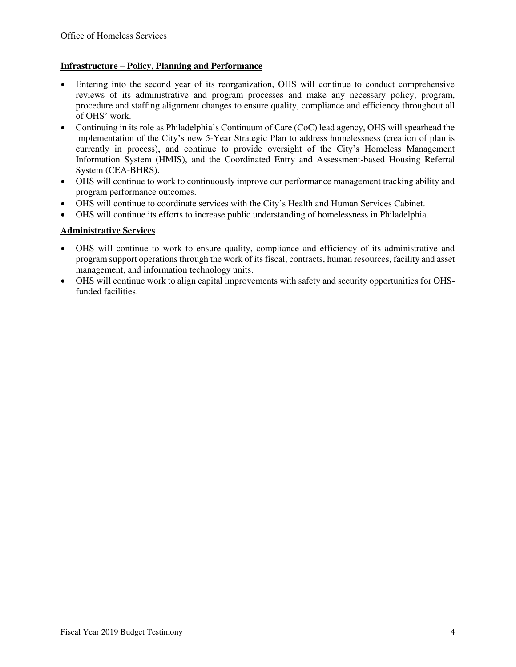### **Infrastructure – Policy, Planning and Performance**

- Entering into the second year of its reorganization, OHS will continue to conduct comprehensive reviews of its administrative and program processes and make any necessary policy, program, procedure and staffing alignment changes to ensure quality, compliance and efficiency throughout all of OHS' work.
- Continuing in its role as Philadelphia's Continuum of Care (CoC) lead agency, OHS will spearhead the implementation of the City's new 5-Year Strategic Plan to address homelessness (creation of plan is currently in process), and continue to provide oversight of the City's Homeless Management Information System (HMIS), and the Coordinated Entry and Assessment-based Housing Referral System (CEA-BHRS).
- OHS will continue to work to continuously improve our performance management tracking ability and program performance outcomes.
- OHS will continue to coordinate services with the City's Health and Human Services Cabinet.
- OHS will continue its efforts to increase public understanding of homelessness in Philadelphia.

### **Administrative Services**

- OHS will continue to work to ensure quality, compliance and efficiency of its administrative and program support operations through the work of its fiscal, contracts, human resources, facility and asset management, and information technology units.
- OHS will continue work to align capital improvements with safety and security opportunities for OHSfunded facilities.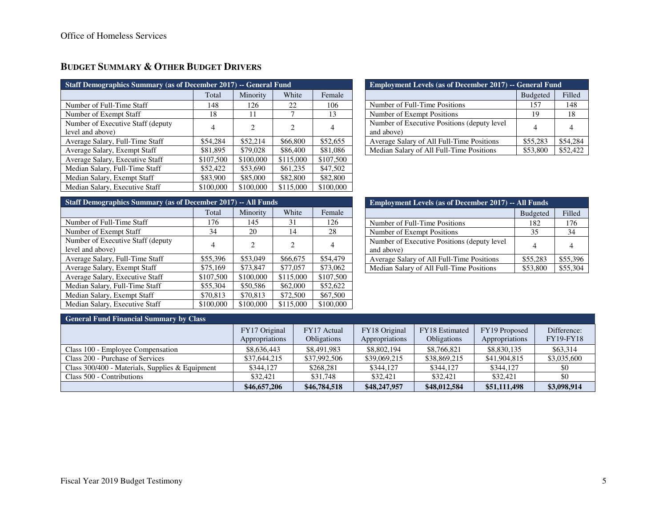| <b>Staff Demographics Summary (as of December 2017) -- General Fund</b> |                |                             |                             |           |  |  |  |  |  |
|-------------------------------------------------------------------------|----------------|-----------------------------|-----------------------------|-----------|--|--|--|--|--|
| White<br>Total<br>Female<br>Minority                                    |                |                             |                             |           |  |  |  |  |  |
| Number of Full-Time Staff                                               | 148            | 126                         | 22                          | 106       |  |  |  |  |  |
| Number of Exempt Staff                                                  | 18             | 11                          |                             | 13        |  |  |  |  |  |
| Number of Executive Staff (deputy)<br>level and above)                  | $\overline{4}$ | $\mathcal{D}_{\mathcal{L}}$ | $\mathcal{D}_{\mathcal{L}}$ | 4         |  |  |  |  |  |
| Average Salary, Full-Time Staff                                         | \$54,284       | \$52,214                    | \$66,800                    | \$52,655  |  |  |  |  |  |
| Average Salary, Exempt Staff                                            | \$81,895       | \$79,028                    | \$86,400                    | \$81,086  |  |  |  |  |  |
| Average Salary, Executive Staff                                         | \$107,500      | \$100,000                   | \$115,000                   | \$107,500 |  |  |  |  |  |
| Median Salary, Full-Time Staff                                          | \$52,422       | \$53,690                    | \$61,235                    | \$47,502  |  |  |  |  |  |
| Median Salary, Exempt Staff                                             | \$83,900       | \$85,000                    | \$82,800                    | \$82,800  |  |  |  |  |  |
| Median Salary, Executive Staff                                          | \$100,000      | \$100,000                   | \$115,000                   | \$100,000 |  |  |  |  |  |

# **BUDGET SUMMARY & OTHER BUDGET DRIVERS**

| <b>Employment Levels (as of December 2017) -- General Fund</b> |          |          |  |  |  |  |
|----------------------------------------------------------------|----------|----------|--|--|--|--|
| <b>Budgeted</b><br>Filled                                      |          |          |  |  |  |  |
| Number of Full-Time Positions                                  | 157      | 148      |  |  |  |  |
| Number of Exempt Positions                                     | 19       | 18       |  |  |  |  |
| Number of Executive Positions (deputy level)<br>and above)     |          |          |  |  |  |  |
| Average Salary of All Full-Time Positions                      | \$55,283 | \$54,284 |  |  |  |  |
| Median Salary of All Full-Time Positions                       | \$53,800 | \$52,422 |  |  |  |  |

| Staff Demographics Summary (as of December 2017) -- All Funds |           |                |                               |           |  |  |  |  |  |
|---------------------------------------------------------------|-----------|----------------|-------------------------------|-----------|--|--|--|--|--|
| White<br>Minority<br>Female<br>Total                          |           |                |                               |           |  |  |  |  |  |
| Number of Full-Time Staff                                     | 176       | 145            | 31                            | 126       |  |  |  |  |  |
| Number of Exempt Staff                                        | 34        | 20             | 14                            | 28        |  |  |  |  |  |
| Number of Executive Staff (deputy)                            | 4         | $\overline{c}$ | $\mathfrak{D}_{\mathfrak{p}}$ | 4         |  |  |  |  |  |
| level and above)                                              |           |                |                               |           |  |  |  |  |  |
| Average Salary, Full-Time Staff                               | \$55,396  | \$53,049       | \$66,675                      | \$54,479  |  |  |  |  |  |
| Average Salary, Exempt Staff                                  | \$75,169  | \$73,847       | \$77,057                      | \$73,062  |  |  |  |  |  |
| Average Salary, Executive Staff                               | \$107,500 | \$100,000      | \$115,000                     | \$107,500 |  |  |  |  |  |
| Median Salary, Full-Time Staff                                | \$55,304  | \$50,586       | \$62,000                      | \$52,622  |  |  |  |  |  |
| Median Salary, Exempt Staff                                   | \$70,813  | \$70,813       | \$72,500                      | \$67,500  |  |  |  |  |  |
| Median Salary, Executive Staff                                | \$100,000 | \$100,000      | \$115,000                     | \$100,000 |  |  |  |  |  |

| <b>Employment Levels (as of December 2017) -- All Funds</b> |                |          |  |  |  |  |
|-------------------------------------------------------------|----------------|----------|--|--|--|--|
| <b>Budgeted</b><br>Filled                                   |                |          |  |  |  |  |
| Number of Full-Time Positions                               | 182            | 176      |  |  |  |  |
| Number of Exempt Positions                                  | 35             | 34       |  |  |  |  |
| Number of Executive Positions (deputy level)<br>and above)  | $\overline{4}$ |          |  |  |  |  |
| Average Salary of All Full-Time Positions                   | \$55,283       | \$55,396 |  |  |  |  |
| Median Salary of All Full-Time Positions                    | \$53,800       | \$55,304 |  |  |  |  |

# **General Fund Financial Summary by Class**

| $\sigma$ with $\alpha$ and $\alpha$ interference to extremely $\sigma$ $\gamma$ . Cannot |                                 |                                   |                                 |                                      |                                 |                                 |
|------------------------------------------------------------------------------------------|---------------------------------|-----------------------------------|---------------------------------|--------------------------------------|---------------------------------|---------------------------------|
|                                                                                          | FY17 Original<br>Appropriations | FY17 Actual<br><b>Obligations</b> | FY18 Original<br>Appropriations | FY18 Estimated<br><b>Obligations</b> | FY19 Proposed<br>Appropriations | Difference:<br><b>FY19-FY18</b> |
| Class 100 - Employee Compensation                                                        | \$8,636,443                     | \$8,491,983                       | \$8,802,194                     | \$8,766,821                          | \$8,830,135                     | \$63,314                        |
| Class 200 - Purchase of Services                                                         | \$37,644,215                    | \$37,992,506                      | \$39,069,215                    | \$38,869,215                         | \$41,904,815                    | \$3,035,600                     |
| Class 300/400 - Materials, Supplies & Equipment                                          | \$344,127                       | \$268.281                         | \$344,127                       | \$344,127                            | \$344,127                       | \$0                             |
| Class 500 - Contributions                                                                | \$32,421                        | \$31,748                          | \$32,421                        | \$32,421                             | \$32,421                        | \$0                             |
|                                                                                          | \$46,657,206                    | \$46,784,518                      | \$48,247,957                    | \$48,012,584                         | \$51,111,498                    | \$3,098,914                     |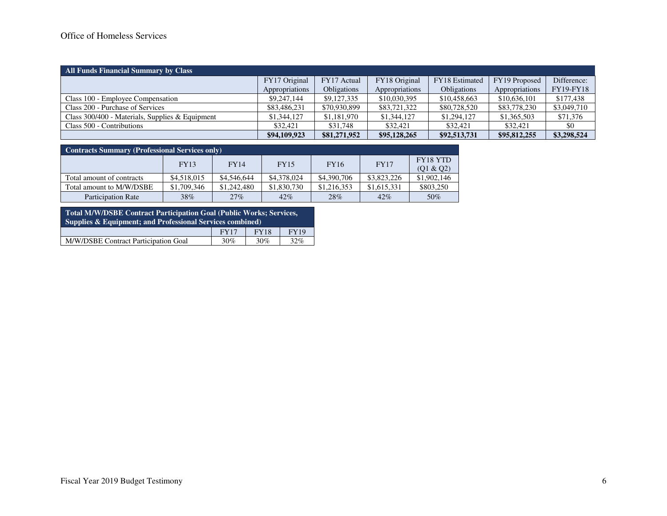# Office of Homeless Services

| All Funds Financial Summary by Class              |                |                    |                |                       |                |             |
|---------------------------------------------------|----------------|--------------------|----------------|-----------------------|----------------|-------------|
|                                                   | FY17 Original  | FY17 Actual        | FY18 Original  | <b>FY18</b> Estimated | FY19 Proposed  | Difference: |
|                                                   | Appropriations | <b>Obligations</b> | Appropriations | <b>Obligations</b>    | Appropriations | FY19-FY18   |
| Class 100 - Employee Compensation                 | \$9,247,144    | \$9,127,335        | \$10,030,395   | \$10,458,663          | \$10,636,101   | \$177,438   |
| Class 200 - Purchase of Services                  | \$83,486,231   | \$70,930,899       | \$83,721,322   | \$80,728,520          | \$83,778,230   | \$3,049,710 |
| Class $300/400$ - Materials, Supplies & Equipment | \$1,344,127    | \$1,181,970        | \$1,344,127    | \$1,294,127           | \$1,365,503    | \$71,376    |
| Class 500 - Contributions                         | \$32,421       | \$31,748           | \$32,421       | \$32,421              | \$32,421       | \$0         |
|                                                   | \$94,109,923   | \$81,271,952       | \$95,128,265   | \$92,513,731          | \$95,812,255   | \$3,298,524 |

| <b>Contracts Summary (Professional Services only)</b> |             |             |             |             |             |                              |  |  |  |
|-------------------------------------------------------|-------------|-------------|-------------|-------------|-------------|------------------------------|--|--|--|
|                                                       | <b>FY13</b> | FY14        | <b>FY15</b> | <b>FY16</b> | <b>FY17</b> | <b>FY18 YTD</b><br>(Q1 & Q2) |  |  |  |
| Total amount of contracts                             | \$4,518,015 | \$4,546,644 | \$4,378,024 | \$4,390,706 | \$3,823,226 | \$1,902,146                  |  |  |  |
| Total amount to M/W/DSBE                              | \$1,709,346 | \$1,242,480 | \$1,830,730 | \$1,216,353 | \$1,615,331 | \$803,250                    |  |  |  |
| <b>Participation Rate</b>                             | 38%         | 27%         | 42%         | 28%         | 42%         | 50%                          |  |  |  |

| Total M/W/DSBE Contract Participation Goal (Public Works; Services,<br><b>Supplies &amp; Equipment: and Professional Services combined)</b> |  |  |  |  |  |  |  |
|---------------------------------------------------------------------------------------------------------------------------------------------|--|--|--|--|--|--|--|
| <b>FY19</b><br><b>FY18</b><br><b>FY17</b>                                                                                                   |  |  |  |  |  |  |  |
| M/W/DSBE Contract Participation Goal<br>32%<br>30%<br>30%                                                                                   |  |  |  |  |  |  |  |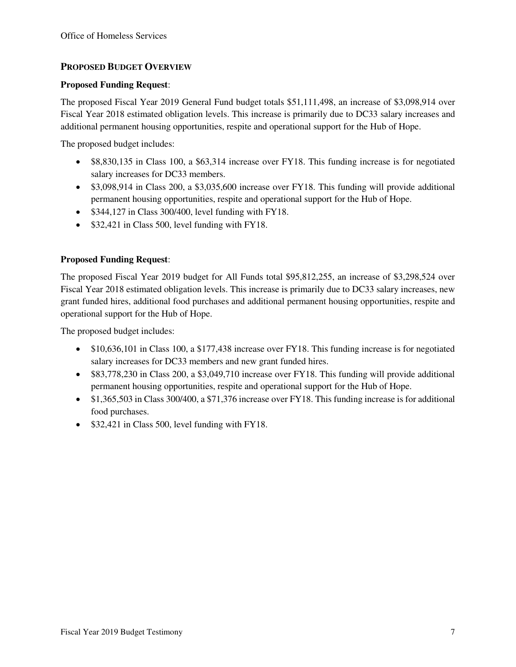# **PROPOSED BUDGET OVERVIEW**

#### **Proposed Funding Request**:

The proposed Fiscal Year 2019 General Fund budget totals \$51,111,498, an increase of \$3,098,914 over Fiscal Year 2018 estimated obligation levels. This increase is primarily due to DC33 salary increases and additional permanent housing opportunities, respite and operational support for the Hub of Hope.

The proposed budget includes:

- \$8,830,135 in Class 100, a \$63,314 increase over FY18. This funding increase is for negotiated salary increases for DC33 members.
- \$3,098,914 in Class 200, a \$3,035,600 increase over FY18. This funding will provide additional permanent housing opportunities, respite and operational support for the Hub of Hope.
- \$344,127 in Class 300/400, level funding with FY18.
- \$32,421 in Class 500, level funding with FY18.

# **Proposed Funding Request**:

The proposed Fiscal Year 2019 budget for All Funds total \$95,812,255, an increase of \$3,298,524 over Fiscal Year 2018 estimated obligation levels. This increase is primarily due to DC33 salary increases, new grant funded hires, additional food purchases and additional permanent housing opportunities, respite and operational support for the Hub of Hope.

The proposed budget includes:

- \$10,636,101 in Class 100, a \$177,438 increase over FY18. This funding increase is for negotiated salary increases for DC33 members and new grant funded hires.
- \$83,778,230 in Class 200, a \$3,049,710 increase over FY18. This funding will provide additional permanent housing opportunities, respite and operational support for the Hub of Hope.
- \$1,365,503 in Class 300/400, a \$71,376 increase over FY18. This funding increase is for additional food purchases.
- \$32,421 in Class 500, level funding with FY18.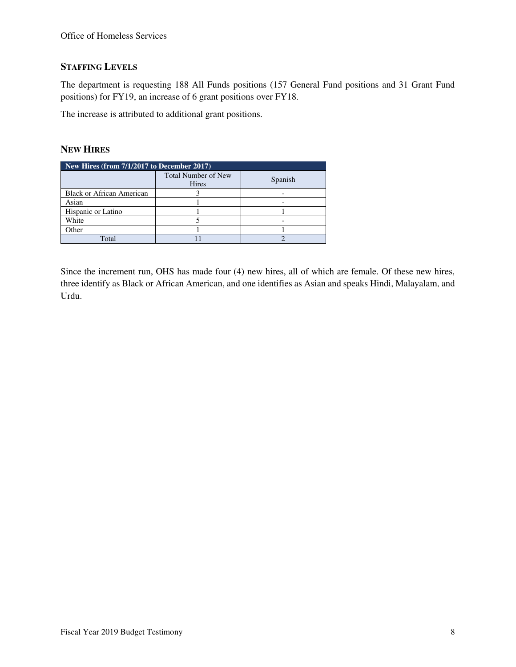# **STAFFING LEVELS**

The department is requesting 188 All Funds positions (157 General Fund positions and 31 Grant Fund positions) for FY19, an increase of 6 grant positions over FY18.

The increase is attributed to additional grant positions.

### **NEW HIRES**

| New Hires (from 7/1/2017 to December 2017) |                                     |         |  |  |  |  |
|--------------------------------------------|-------------------------------------|---------|--|--|--|--|
|                                            | <b>Total Number of New</b><br>Hires | Spanish |  |  |  |  |
| <b>Black or African American</b>           |                                     |         |  |  |  |  |
| Asian                                      |                                     |         |  |  |  |  |
| Hispanic or Latino                         |                                     |         |  |  |  |  |
| White                                      |                                     |         |  |  |  |  |
| Other                                      |                                     |         |  |  |  |  |
| Total                                      |                                     |         |  |  |  |  |

Since the increment run, OHS has made four (4) new hires, all of which are female. Of these new hires, three identify as Black or African American, and one identifies as Asian and speaks Hindi, Malayalam, and Urdu.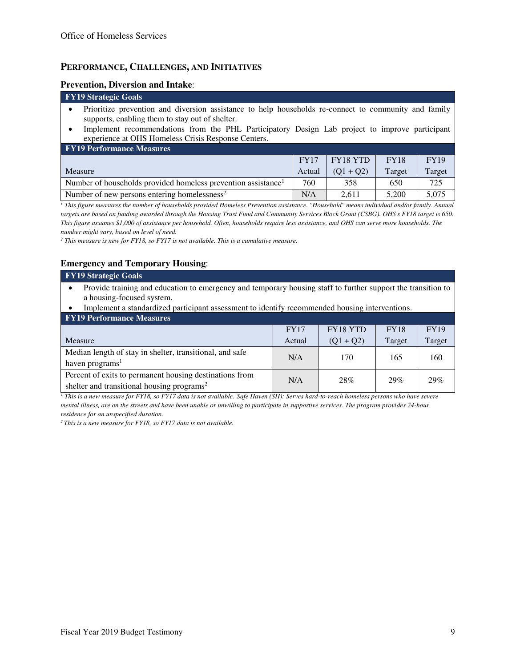#### **PERFORMANCE, CHALLENGES, AND INITIATIVES**

#### **Prevention, Diversion and Intake**:

#### **FY19 Strategic Goals**  • Prioritize prevention and diversion assistance to help households re-connect to community and family supports, enabling them to stay out of shelter.

• Implement recommendations from the PHL Participatory Design Lab project to improve participant experience at OHS Homeless Crisis Response Centers.

| <b>FY19 Performance Measures</b>                                          |        |             |             |             |
|---------------------------------------------------------------------------|--------|-------------|-------------|-------------|
|                                                                           | FY17   | FY18 YTD    | <b>FY18</b> | <b>FY19</b> |
| Measure                                                                   | Actual | $(01 + 02)$ | Target      | Target      |
| Number of households provided homeless prevention assistance <sup>1</sup> | 760    | 358         | 650         | 725         |
| Number of new persons entering homelessness <sup>2</sup>                  | N/A    | 2.611       | 5.200       | 5.075       |

<sup>1</sup> This figure measures the number of households provided Homeless Prevention assistance. "Household" means individual and/or family. Annual *targets are based on funding awarded through the Housing Trust Fund and Community Services Block Grant (CSBG). OHS's FY18 target is 650. This figure assumes \$1,000 of assistance per household. Often, households require less assistance, and OHS can serve more households. The number might vary, based on level of need.* 

*2 This measure is new for FY18, so FY17 is not available. This is a cumulative measure.*

#### **Emergency and Temporary Housing**:

| <b>FY19 Strategic Goals</b>                                                                                    |
|----------------------------------------------------------------------------------------------------------------|
| • Provide training and education to emergency and temporary housing staff to further support the transition to |
| a housing-focused system.                                                                                      |

• Implement a standardized participant assessment to identify recommended housing interventions.

| <b>FY19 Performance Measures</b>                                                                                  |             |                 |             |             |
|-------------------------------------------------------------------------------------------------------------------|-------------|-----------------|-------------|-------------|
|                                                                                                                   | <b>FY17</b> | <b>FY18 YTD</b> | <b>FY18</b> | <b>FY19</b> |
| Measure                                                                                                           | Actual      | $(Q1 + Q2)$     | Target      | Target      |
| Median length of stay in shelter, transitional, and safe<br>haven programs <sup>1</sup>                           | N/A         | 170             | 165         | 160         |
| Percent of exits to permanent housing destinations from<br>shelter and transitional housing programs <sup>2</sup> | N/A         | 28%             | 29%         | 29%         |

*1 This is a new measure for FY18, so FY17 data is not available. Safe Haven (SH): Serves hard-to-reach homeless persons who have severe mental illness, are on the streets and have been unable or unwilling to participate in supportive services. The program provides 24-hour residence for an unspecified duration.* 

*<sup>2</sup>This is a new measure for FY18, so FY17 data is not available.*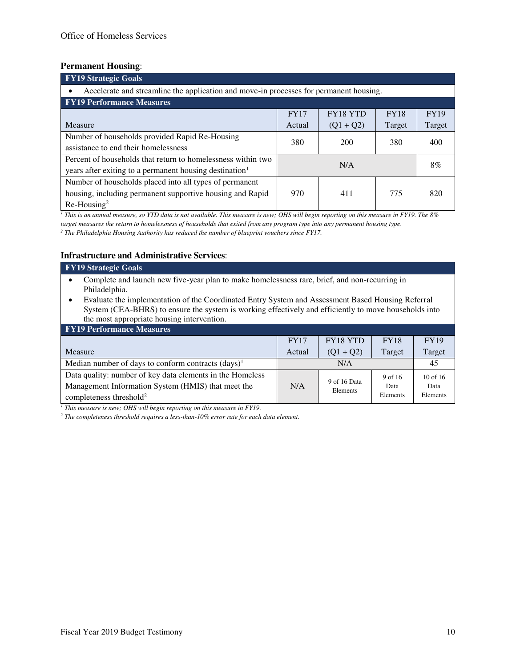#### **Permanent Housing**:

| <b>FY19 Strategic Goals</b>                                                                                                           |             |                 |             |             |  |  |  |
|---------------------------------------------------------------------------------------------------------------------------------------|-------------|-----------------|-------------|-------------|--|--|--|
| Accelerate and streamline the application and move-in processes for permanent housing.                                                |             |                 |             |             |  |  |  |
| <b>FY19 Performance Measures</b>                                                                                                      |             |                 |             |             |  |  |  |
|                                                                                                                                       | <b>FY17</b> | <b>FY18 YTD</b> | <b>FY18</b> | <b>FY19</b> |  |  |  |
| Measure                                                                                                                               | Actual      | $(Q1 + Q2)$     | Target      | Target      |  |  |  |
| Number of households provided Rapid Re-Housing<br>assistance to end their homelessness                                                | 380         | 200             | 380         | 400         |  |  |  |
| Percent of households that return to homelessness within two<br>years after exiting to a permanent housing destination <sup>1</sup>   | 8%<br>N/A   |                 |             |             |  |  |  |
| Number of households placed into all types of permanent<br>housing, including permanent supportive housing and Rapid<br>$Re-Housing2$ | 970         | 411             | 775         | 820         |  |  |  |

*1 This is an annual measure, so YTD data is not available. This measure is new; OHS will begin reporting on this measure in FY19. The 8% target measures the return to homelessness of households that exited from any program type into any permanent housing type.* 

*2 The Philadelphia Housing Authority has reduced the number of blueprint vouchers since FY17.*

#### **Infrastructure and Administrative Services**:

- Complete and launch new five-year plan to make homelessness rare, brief, and non-recurring in Philadelphia.
- Evaluate the implementation of the Coordinated Entry System and Assessment Based Housing Referral System (CEA-BHRS) to ensure the system is working effectively and efficiently to move households into the most appropriate housing intervention.

| <b>FY19 Performance Measures</b>                          |             |                          |             |              |
|-----------------------------------------------------------|-------------|--------------------------|-------------|--------------|
|                                                           | <b>FY17</b> | <b>FY18 YTD</b>          | <b>FY18</b> | <b>FY19</b>  |
| Measure                                                   | Actual      | $(Q1 + Q2)$              | Target      | Target       |
| Median number of days to conform contracts $(days)^1$     |             | N/A                      |             | 45           |
| Data quality: number of key data elements in the Homeless |             |                          | 9 of 16     | $10$ of $16$ |
| Management Information System (HMIS) that meet the        | N/A         | 9 of 16 Data<br>Elements | Data        | Data         |
| completeness threshold <sup>2</sup>                       |             |                          | Elements    | Elements     |

<sup>1</sup> This measure is new; OHS will begin reporting on this measure in FY19.

*2 The completeness threshold requires a less-than-10% error rate for each data element.*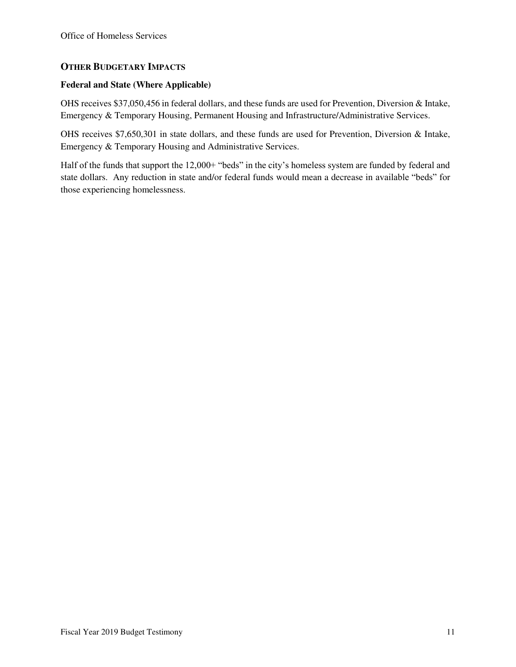# **OTHER BUDGETARY IMPACTS**

#### **Federal and State (Where Applicable)**

OHS receives \$37,050,456 in federal dollars, and these funds are used for Prevention, Diversion & Intake, Emergency & Temporary Housing, Permanent Housing and Infrastructure/Administrative Services.

OHS receives \$7,650,301 in state dollars, and these funds are used for Prevention, Diversion & Intake, Emergency & Temporary Housing and Administrative Services.

Half of the funds that support the 12,000+ "beds" in the city's homeless system are funded by federal and state dollars. Any reduction in state and/or federal funds would mean a decrease in available "beds" for those experiencing homelessness.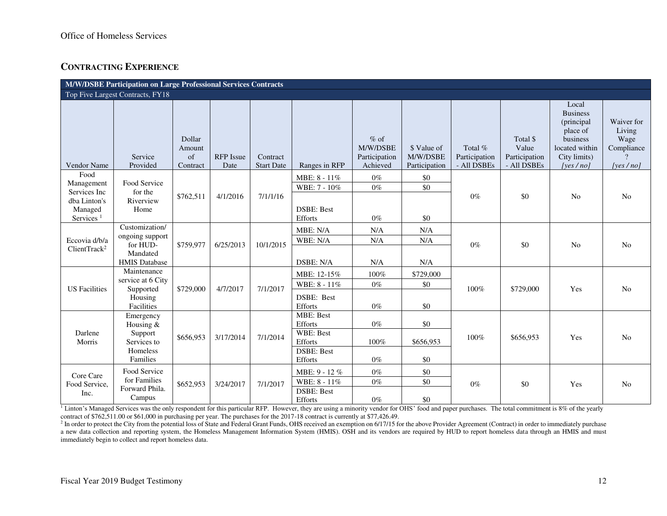# **CONTRACTING EXPERIENCE**

| M/W/DSBE Participation on Large Professional Services Contracts                        |                                                                                   |                                    |                          |                               |                                                                                     |                                                 |                                          |                                         |                                                   |                                                                                                                   |                                                            |
|----------------------------------------------------------------------------------------|-----------------------------------------------------------------------------------|------------------------------------|--------------------------|-------------------------------|-------------------------------------------------------------------------------------|-------------------------------------------------|------------------------------------------|-----------------------------------------|---------------------------------------------------|-------------------------------------------------------------------------------------------------------------------|------------------------------------------------------------|
| Top Five Largest Contracts, FY18                                                       |                                                                                   |                                    |                          |                               |                                                                                     |                                                 |                                          |                                         |                                                   |                                                                                                                   |                                                            |
| <b>Vendor Name</b>                                                                     | Service<br>Provided                                                               | Dollar<br>Amount<br>of<br>Contract | <b>RFP</b> Issue<br>Date | Contract<br><b>Start Date</b> | Ranges in RFP                                                                       | $%$ of<br>M/W/DSBE<br>Participation<br>Achieved | \$ Value of<br>M/W/DSBE<br>Participation | Total %<br>Participation<br>- All DSBEs | Total \$<br>Value<br>Participation<br>- All DSBEs | Local<br><b>Business</b><br>(principal)<br>place of<br>business<br>located within<br>City limits)<br>[yes $/no$ ] | Waiver for<br>Living<br>Wage<br>Compliance<br>[yes $/no$ ] |
| Food<br>Management<br>Services Inc<br>dba Linton's<br>Managed<br>Services <sup>1</sup> | Food Service<br>for the<br>Riverview<br>Home                                      | \$762,511                          | 4/1/2016                 | 7/1/1/16                      | MBE: 8 - 11%<br>WBE: 7 - 10%<br><b>DSBE: Best</b><br>Efforts                        | $0\%$<br>$0\%$<br>$0\%$                         | \$0<br>\$0<br>\$0                        | $0\%$                                   | \$0                                               | N <sub>0</sub>                                                                                                    | N <sub>o</sub>                                             |
| Eccovia d/b/a<br>ClientTrack <sup>2</sup>                                              | Customization/<br>ongoing support<br>for HUD-<br>Mandated<br><b>HMIS Database</b> | \$759,977                          | 6/25/2013                | 10/1/2015                     | MBE: N/A<br>WBE: N/A<br>DSBE: N/A                                                   | N/A<br>N/A<br>N/A                               | N/A<br>N/A<br>N/A                        | $0\%$                                   | \$0                                               | N <sub>0</sub>                                                                                                    | N <sub>0</sub>                                             |
| <b>US</b> Facilities                                                                   | Maintenance<br>service at 6 City<br>Supported<br>Housing<br>Facilities            | \$729,000                          | 4/7/2017                 | 7/1/2017                      | MBE: 12-15%<br>WBE: 8 - 11%<br>DSBE: Best<br>Efforts                                | 100%<br>$0\%$<br>$0\%$                          | \$729,000<br>\$0<br>\$0                  | 100%                                    | \$729,000                                         | Yes                                                                                                               | N <sub>o</sub>                                             |
| Darlene<br>Morris                                                                      | Emergency<br>Housing &<br>Support<br>Services to<br>Homeless<br>Families          | \$656,953                          | 3/17/2014                | 7/1/2014                      | <b>MBE: Best</b><br>Efforts<br>WBE: Best<br>Efforts<br><b>DSBE: Best</b><br>Efforts | $0\%$<br>100%<br>$0\%$                          | \$0<br>\$656,953<br>\$0                  | 100%                                    | \$656,953                                         | Yes                                                                                                               | N <sub>0</sub>                                             |
| Core Care<br>Food Service,<br>Inc.                                                     | Food Service<br>for Families<br>Forward Phila.<br>Campus                          | \$652,953                          | 3/24/2017                | 7/1/2017                      | MBE: 9 - 12 %<br>WBE: 8 - 11%<br><b>DSBE: Best</b><br>Efforts                       | $0\%$<br>$0\%$<br>$0\%$                         | \$0<br>\$0<br>\$0                        | $0\%$                                   | \$0                                               | Yes                                                                                                               | N <sub>o</sub>                                             |

<sup>1</sup> Linton's Managed Services was the only respondent for this particular RFP. However, they are using a minority vendor for OHS' food and paper purchases. The total commitment is 8% of the yearly contract of \$762,511.00 or \$61,000 in purchasing per year. The purchases for the 2017-18 contract is currently at \$77,426.49.

<sup>2</sup> In order to protect the City from the potential loss of State and Federal Grant Funds, OHS received an exemption on 6/17/15 for the above Provider Agreement (Contract) in order to immediately purchase a new data collection and reporting system, the Homeless Management Information System (HMIS). OSH and its vendors are required by HUD to report homeless data through an HMIS and must immediately begin to collect and report homeless data.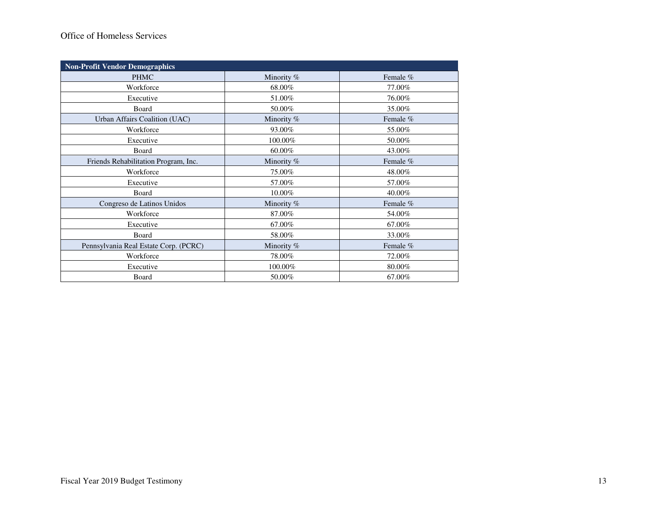# Office of Homeless Services

| <b>Non-Profit Vendor Demographics</b> |            |          |
|---------------------------------------|------------|----------|
| <b>PHMC</b>                           | Minority % | Female % |
| Workforce                             | 68.00%     | 77.00%   |
| Executive                             | 51.00%     | 76.00%   |
| Board                                 | 50.00%     | 35.00%   |
| Urban Affairs Coalition (UAC)         | Minority % | Female % |
| Workforce                             | 93.00%     | 55.00%   |
| Executive                             | 100.00%    | 50.00%   |
| Board                                 | 60.00%     | 43.00%   |
| Friends Rehabilitation Program, Inc.  | Minority % | Female % |
| Workforce                             | 75.00%     | 48.00%   |
| Executive                             | 57.00%     | 57.00%   |
| Board                                 | 10.00%     | 40.00%   |
| Congreso de Latinos Unidos            | Minority % | Female % |
| Workforce                             | 87.00%     | 54.00%   |
| Executive                             | 67.00%     | 67.00%   |
| Board                                 | 58.00%     | 33.00%   |
| Pennsylvania Real Estate Corp. (PCRC) | Minority % | Female % |
| Workforce                             | 78.00%     | 72.00%   |
| Executive                             | 100.00%    | 80.00%   |
| Board                                 | 50.00%     | 67.00%   |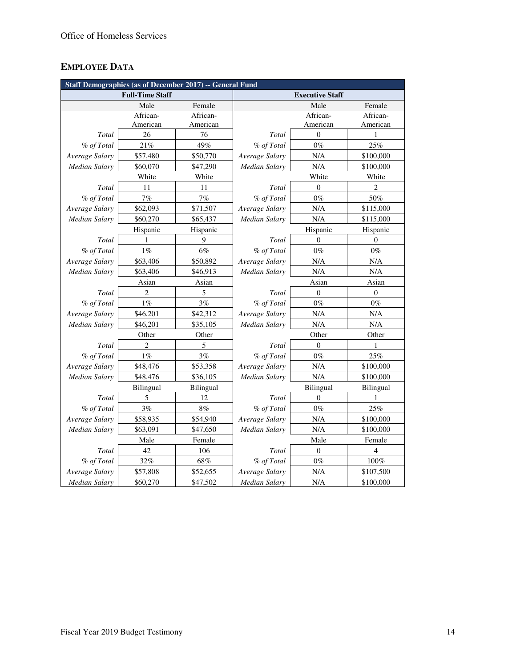# **EMPLOYEE DATA**

| Staff Demographics (as of December 2017) -- General Fund |                        |           |                        |                  |                  |  |
|----------------------------------------------------------|------------------------|-----------|------------------------|------------------|------------------|--|
|                                                          | <b>Full-Time Staff</b> |           | <b>Executive Staff</b> |                  |                  |  |
|                                                          | Male                   | Female    |                        | Male             | Female           |  |
|                                                          | African-               | African-  |                        | African-         | African-         |  |
|                                                          | American               | American  |                        | American         | American         |  |
| Total                                                    | 26                     | 76        | <b>Total</b>           | $\theta$         | $\mathbf{1}$     |  |
| % of Total                                               | 21%                    | 49%       | % of Total             | $0\%$            | 25%              |  |
| Average Salary                                           | \$57,480               | \$50,770  | Average Salary         | N/A              | \$100,000        |  |
| <b>Median Salary</b>                                     | \$60,070               | \$47,290  | Median Salary          | N/A              | \$100,000        |  |
|                                                          | White                  | White     |                        | White            | White            |  |
| Total                                                    | 11                     | 11        | Total                  | $\mathbf{0}$     | $\overline{c}$   |  |
| % of Total                                               | 7%                     | 7%        | % of Total             | $0\%$            | 50%              |  |
| Average Salary                                           | \$62,093               | \$71,507  | Average Salary         | N/A              | \$115,000        |  |
| <b>Median Salary</b>                                     | \$60,270               | \$65,437  | Median Salary          | N/A              | \$115,000        |  |
|                                                          | Hispanic               | Hispanic  |                        | Hispanic         | Hispanic         |  |
| Total                                                    | 1                      | 9         | Total                  | $\mathbf{0}$     | $\overline{0}$   |  |
| % of Total                                               | $1\%$                  | 6%        | % of Total             | $0\%$            | $0\%$            |  |
| Average Salary                                           | \$63,406               | \$50,892  | Average Salary         | N/A              | $\rm N/A$        |  |
| <b>Median Salary</b>                                     | \$63,406               | \$46,913  | <b>Median Salary</b>   | N/A              | N/A              |  |
|                                                          | Asian                  | Asian     |                        | Asian            | Asian            |  |
| Total                                                    | 2                      | 5         | Total                  | $\boldsymbol{0}$ | $\boldsymbol{0}$ |  |
| % of Total                                               | $1\%$                  | 3%        | % of Total             | $0\%$            | $0\%$            |  |
| Average Salary                                           | \$46,201               | \$42,312  | Average Salary         | N/A              | N/A              |  |
| <b>Median Salary</b>                                     | \$46,201               | \$35,105  | Median Salary          | N/A              | N/A              |  |
|                                                          | Other                  | Other     |                        | Other            | Other            |  |
| Total                                                    | $\overline{2}$         | 5         | Total                  | $\overline{0}$   | 1                |  |
| % of Total                                               | $1\%$                  | 3%        | % of Total             | $0\%$            | 25%              |  |
| Average Salary                                           | \$48,476               | \$53,358  | Average Salary         | N/A              | \$100,000        |  |
| <b>Median Salary</b>                                     | \$48,476               | \$36,105  | <b>Median Salary</b>   | N/A              | \$100,000        |  |
|                                                          | Bilingual              | Bilingual |                        | <b>Bilingual</b> | Bilingual        |  |
| Total                                                    | 5                      | 12        | Total                  | $\overline{0}$   | 1                |  |
| % of Total                                               | 3%                     | 8%        | % of Total             | $0\%$            | 25%              |  |
| Average Salary                                           | \$58,935               | \$54,940  | Average Salary         | N/A              | \$100,000        |  |
| Median Salary                                            | \$63,091               | \$47,650  | <b>Median Salary</b>   | N/A              | \$100,000        |  |
|                                                          | Male                   | Female    |                        | Male             | Female           |  |
| Total                                                    | 42                     | 106       | Total                  | $\overline{0}$   | 4                |  |
| % of Total                                               | 32%                    | $68\%$    | % of Total             | $0\%$            | $100\%$          |  |
| Average Salary                                           | \$57,808               | \$52,655  | Average Salary         | N/A              | \$107,500        |  |
| Median Salary                                            | \$60,270               | \$47,502  | Median Salary          | N/A              | \$100,000        |  |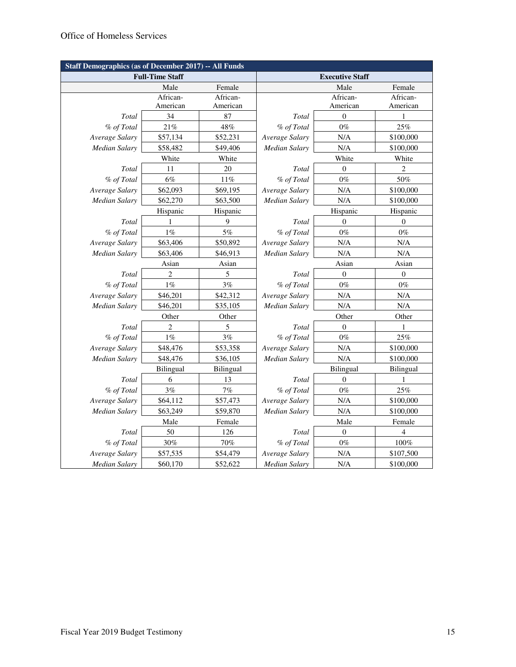| <b>Staff Demographics (as of December 2017) -- All Funds</b> |                        |           |                        |                  |                  |  |  |
|--------------------------------------------------------------|------------------------|-----------|------------------------|------------------|------------------|--|--|
|                                                              | <b>Full-Time Staff</b> |           | <b>Executive Staff</b> |                  |                  |  |  |
|                                                              | Male                   | Female    | Female<br>Male         |                  |                  |  |  |
|                                                              | African-               | African-  |                        | African-         | African-         |  |  |
|                                                              | American               | American  |                        | American         | American         |  |  |
| Total                                                        | 34                     | 87        | Total                  | $\boldsymbol{0}$ | 1                |  |  |
| % of Total                                                   | 21%                    | 48%       | % of Total             | $0\%$            | 25%              |  |  |
| Average Salary                                               | \$57,134               | \$52,231  | Average Salary         | N/A              | \$100,000        |  |  |
| Median Salary                                                | \$58,482               | \$49,406  | <b>Median Salary</b>   | N/A              | \$100,000        |  |  |
|                                                              | White                  | White     |                        | White            | White            |  |  |
| Total                                                        | 11                     | 20        | Total                  | $\boldsymbol{0}$ | 2                |  |  |
| % of Total                                                   | $6\%$                  | $11\%$    | % of Total             | $0\%$            | 50%              |  |  |
| Average Salary                                               | \$62,093               | \$69,195  | Average Salary         | N/A              | \$100,000        |  |  |
| Median Salary                                                | \$62,270               | \$63,500  | Median Salary          | N/A              | \$100,000        |  |  |
|                                                              | Hispanic               | Hispanic  |                        | Hispanic         | Hispanic         |  |  |
| Total                                                        | 1                      | 9         | Total                  | $\boldsymbol{0}$ | $\boldsymbol{0}$ |  |  |
| % of Total                                                   | $1\%$                  | $5\%$     | % of Total             | $0\%$            | $0\%$            |  |  |
| Average Salary                                               | \$63,406               | \$50,892  | Average Salary         | N/A              | N/A              |  |  |
| Median Salary                                                | \$63,406               | \$46,913  | Median Salary          | N/A              | N/A              |  |  |
|                                                              | Asian                  | Asian     |                        | Asian            | Asian            |  |  |
| Total                                                        | 2                      | 5         | Total                  | $\boldsymbol{0}$ | $\boldsymbol{0}$ |  |  |
| % of Total                                                   | $1\%$                  | 3%        | % of Total             | $0\%$            | $0\%$            |  |  |
| Average Salary                                               | \$46,201               | \$42,312  | Average Salary         | N/A              | N/A              |  |  |
| Median Salary                                                | \$46,201               | \$35,105  | <b>Median Salary</b>   | N/A              | N/A              |  |  |
|                                                              | Other                  | Other     |                        | Other            | Other            |  |  |
| Total                                                        | 2                      | 5         | Total                  | $\theta$         | 1                |  |  |
| % of Total                                                   | $1\%$                  | $3\%$     | % of Total             | $0\%$            | 25%              |  |  |
| Average Salary                                               | \$48,476               | \$53,358  | Average Salary         | N/A              | \$100,000        |  |  |
| Median Salary                                                | \$48,476               | \$36,105  | <b>Median Salary</b>   | N/A              | \$100,000        |  |  |
|                                                              | Bilingual              | Bilingual |                        | Bilingual        | Bilingual        |  |  |
| Total                                                        | 6                      | 13        | Total                  | $\theta$         | 1                |  |  |
| % of Total                                                   | 3%                     | 7%        | % of Total             | $0\%$            | 25%              |  |  |
| Average Salary                                               | \$64,112               | \$57,473  | Average Salary         | N/A              | \$100,000        |  |  |
| Median Salary                                                | \$63,249               | \$59,870  | <b>Median Salary</b>   | N/A              | \$100,000        |  |  |
|                                                              | Male                   | Female    |                        | Male             | Female           |  |  |
| Total                                                        | 50                     | 126       | Total                  | $\boldsymbol{0}$ | 4                |  |  |
| % of Total                                                   | 30%                    | 70%       | % of Total             | $0\%$            | $100\%$          |  |  |
| Average Salary                                               | \$57,535               | \$54,479  | Average Salary         | N/A              | \$107,500        |  |  |
| <b>Median Salary</b>                                         | \$60,170               | \$52,622  | <b>Median Salary</b>   | N/A              | \$100,000        |  |  |